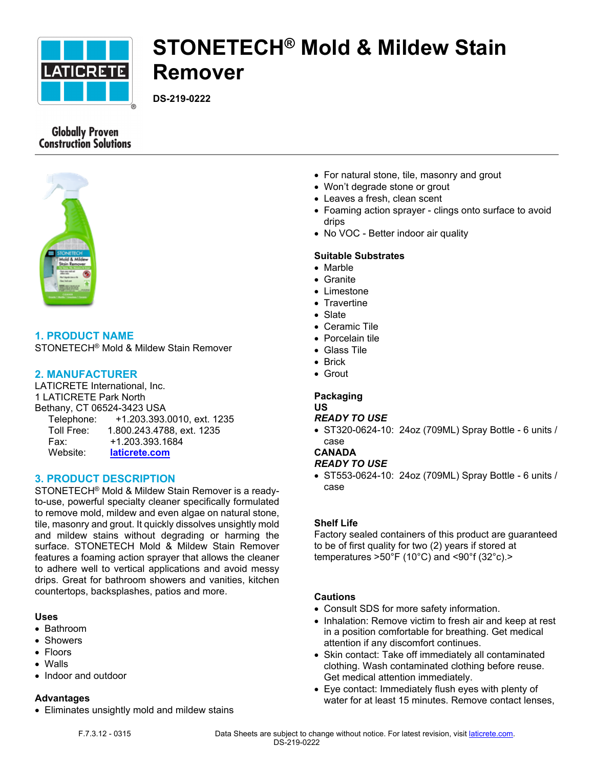

# **STONETECH® Mold & Mildew Stain Remover**

**DS-219-0222**

# **Globally Proven Construction Solutions**



# **1. PRODUCT NAME**

STONETECH® Mold & Mildew Stain Remover

### **2. MANUFACTURER**

LATICRETE International, Inc. 1 LATICRETE Park North Bethany, CT 06524-3423 USA Telephone: +1.203.393.0010, ext. 1235 Toll Free: 1.800.243.4788, ext. 1235 Fax: +1.203.393.1684 Website: **[laticrete.com](https://laticrete.com/)**

#### **3. PRODUCT DESCRIPTION**

STONETECH® Mold & Mildew Stain Remover is a readyto-use, powerful specialty cleaner specifically formulated to remove mold, mildew and even algae on natural stone, tile, masonry and grout. It quickly dissolves unsightly mold and mildew stains without degrading or harming the surface. STONETECH Mold & Mildew Stain Remover features a foaming action sprayer that allows the cleaner to adhere well to vertical applications and avoid messy drips. Great for bathroom showers and vanities, kitchen countertops, backsplashes, patios and more.

#### **Uses**

- Bathroom
- Showers
- Floors
- Walls
- Indoor and outdoor

# **Advantages**

• Eliminates unsightly mold and mildew stains

- For natural stone, tile, masonry and grout
- Won't degrade stone or grout
- Leaves a fresh, clean scent
- Foaming action sprayer clings onto surface to avoid drips
- No VOC Better indoor air quality

## **Suitable Substrates**

- Marble
- Granite
- Limestone
- Travertine
- Slate
- Ceramic Tile
- Porcelain tile
- Glass Tile
- Brick
- Grout

#### **Packaging**

#### **US**

#### *READY TO USE*

• ST320-0624-10: 24oz (709ML) Spray Bottle - 6 units / case

# **CANADA**

- *READY TO USE*
- ST553-0624-10: 24oz (709ML) Spray Bottle 6 units / case

#### **Shelf Life**

Factory sealed containers of this product are guaranteed to be of first quality for two (2) years if stored at temperatures  $>50^{\circ}$ F (10 $^{\circ}$ C) and <90 $^{\circ}$ f (32 $^{\circ}$ c). $>$ 

#### **Cautions**

- Consult SDS for more safety information.
- Inhalation: Remove victim to fresh air and keep at rest in a position comfortable for breathing. Get medical attention if any discomfort continues.
- Skin contact: Take off immediately all contaminated clothing. Wash contaminated clothing before reuse. Get medical attention immediately.
- Eye contact: Immediately flush eyes with plenty of water for at least 15 minutes. Remove contact lenses,